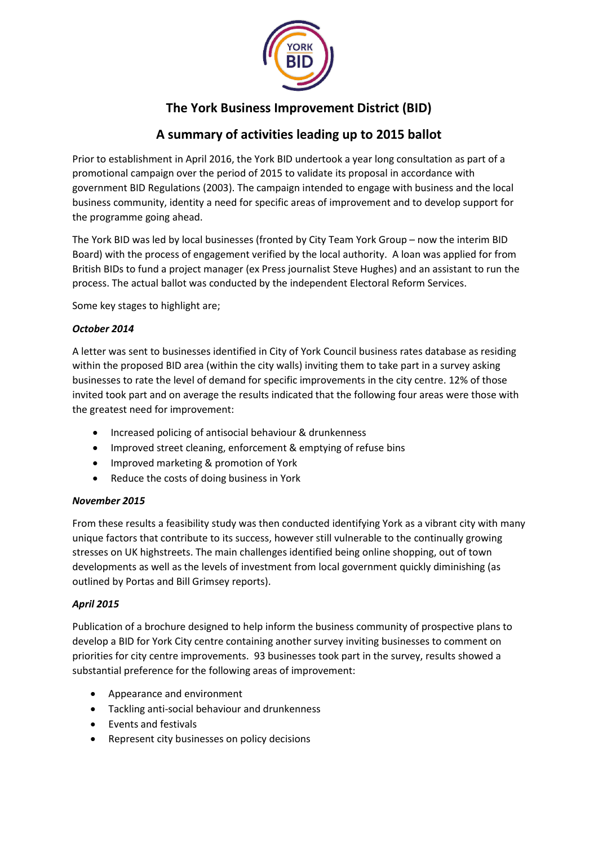

# **The York Business Improvement District (BID)**

# **A summary of activities leading up to 2015 ballot**

Prior to establishment in April 2016, the York BID undertook a year long consultation as part of a promotional campaign over the period of 2015 to validate its proposal in accordance with government BID Regulations (2003). The campaign intended to engage with business and the local business community, identity a need for specific areas of improvement and to develop support for the programme going ahead.

The York BID was led by local businesses (fronted by City Team York Group – now the interim BID Board) with the process of engagement verified by the local authority. A loan was applied for from British BIDs to fund a project manager (ex Press journalist Steve Hughes) and an assistant to run the process. The actual ballot was conducted by the independent Electoral Reform Services.

Some key stages to highlight are;

## *October 2014*

A letter was sent to businesses identified in City of York Council business rates database as residing within the proposed BID area (within the city walls) inviting them to take part in a survey asking businesses to rate the level of demand for specific improvements in the city centre. 12% of those invited took part and on average the results indicated that the following four areas were those with the greatest need for improvement:

- Increased policing of antisocial behaviour & drunkenness
- Improved street cleaning, enforcement & emptying of refuse bins
- Improved marketing & promotion of York
- Reduce the costs of doing business in York

## *November 2015*

From these results a feasibility study was then conducted identifying York as a vibrant city with many unique factors that contribute to its success, however still vulnerable to the continually growing stresses on UK highstreets. The main challenges identified being online shopping, out of town developments as well as the levels of investment from local government quickly diminishing (as outlined by Portas and Bill Grimsey reports).

## *April 2015*

Publication of a brochure designed to help inform the business community of prospective plans to develop a BID for York City centre containing another survey inviting businesses to comment on priorities for city centre improvements. 93 businesses took part in the survey, results showed a substantial preference for the following areas of improvement:

- Appearance and environment
- Tackling anti-social behaviour and drunkenness
- Events and festivals
- Represent city businesses on policy decisions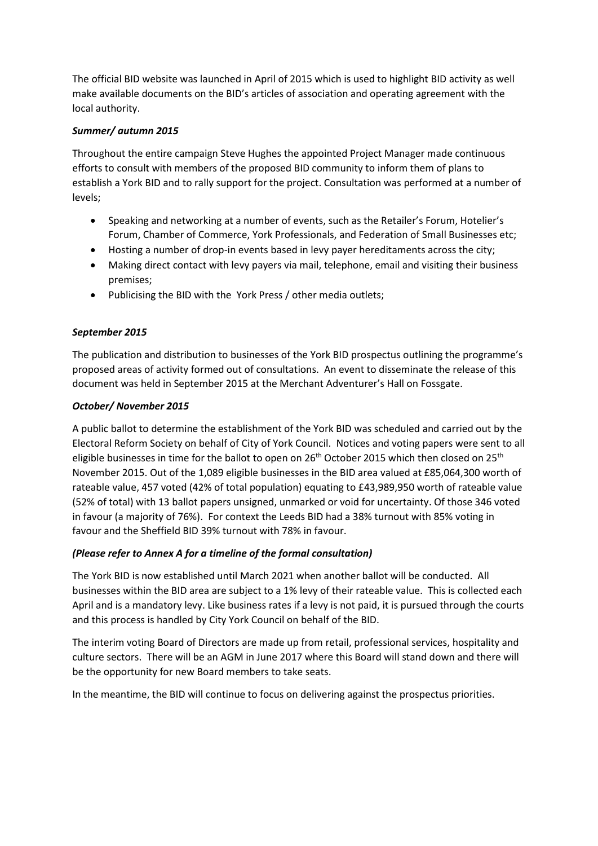The official BID website was launched in April of 2015 which is used to highlight BID activity as well make available documents on the BID's articles of association and operating agreement with the local authority.

## *Summer/ autumn 2015*

Throughout the entire campaign Steve Hughes the appointed Project Manager made continuous efforts to consult with members of the proposed BID community to inform them of plans to establish a York BID and to rally support for the project. Consultation was performed at a number of levels;

- Speaking and networking at a number of events, such as the Retailer's Forum, Hotelier's Forum, Chamber of Commerce, York Professionals, and Federation of Small Businesses etc;
- Hosting a number of drop-in events based in levy payer hereditaments across the city;
- Making direct contact with levy payers via mail, telephone, email and visiting their business premises;
- Publicising the BID with the York Press / other media outlets;

## *September 2015*

The publication and distribution to businesses of the York BID prospectus outlining the programme's proposed areas of activity formed out of consultations. An event to disseminate the release of this document was held in September 2015 at the Merchant Adventurer's Hall on Fossgate.

## *October/ November 2015*

A public ballot to determine the establishment of the York BID was scheduled and carried out by the Electoral Reform Society on behalf of City of York Council. Notices and voting papers were sent to all eligible businesses in time for the ballot to open on  $26<sup>th</sup>$  October 2015 which then closed on  $25<sup>th</sup>$ November 2015. Out of the 1,089 eligible businesses in the BID area valued at £85,064,300 worth of rateable value, 457 voted (42% of total population) equating to £43,989,950 worth of rateable value (52% of total) with 13 ballot papers unsigned, unmarked or void for uncertainty. Of those 346 voted in favour (a majority of 76%). For context the Leeds BID had a 38% turnout with 85% voting in favour and the Sheffield BID 39% turnout with 78% in favour.

## *(Please refer to Annex A for a timeline of the formal consultation)*

The York BID is now established until March 2021 when another ballot will be conducted. All businesses within the BID area are subject to a 1% levy of their rateable value. This is collected each April and is a mandatory levy. Like business rates if a levy is not paid, it is pursued through the courts and this process is handled by City York Council on behalf of the BID.

The interim voting Board of Directors are made up from retail, professional services, hospitality and culture sectors. There will be an AGM in June 2017 where this Board will stand down and there will be the opportunity for new Board members to take seats.

In the meantime, the BID will continue to focus on delivering against the prospectus priorities.